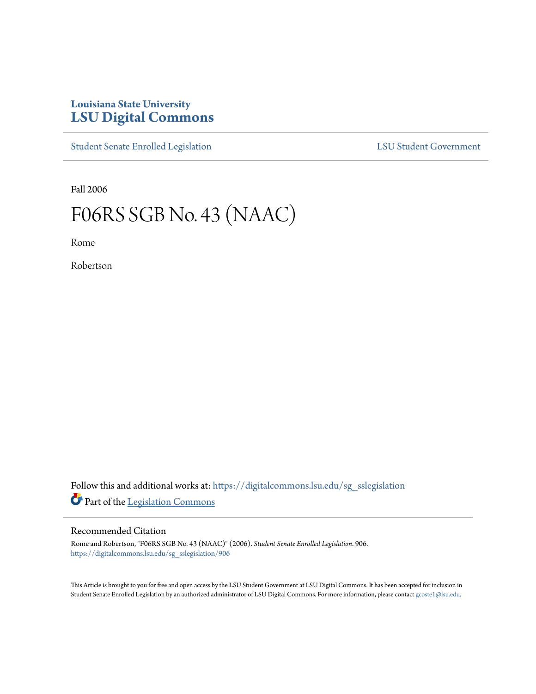## **Louisiana State University [LSU Digital Commons](https://digitalcommons.lsu.edu?utm_source=digitalcommons.lsu.edu%2Fsg_sslegislation%2F906&utm_medium=PDF&utm_campaign=PDFCoverPages)**

[Student Senate Enrolled Legislation](https://digitalcommons.lsu.edu/sg_sslegislation?utm_source=digitalcommons.lsu.edu%2Fsg_sslegislation%2F906&utm_medium=PDF&utm_campaign=PDFCoverPages) [LSU Student Government](https://digitalcommons.lsu.edu/sg?utm_source=digitalcommons.lsu.edu%2Fsg_sslegislation%2F906&utm_medium=PDF&utm_campaign=PDFCoverPages)

Fall 2006

## F06RS SGB No. 43 (NAAC)

Rome

Robertson

Follow this and additional works at: [https://digitalcommons.lsu.edu/sg\\_sslegislation](https://digitalcommons.lsu.edu/sg_sslegislation?utm_source=digitalcommons.lsu.edu%2Fsg_sslegislation%2F906&utm_medium=PDF&utm_campaign=PDFCoverPages) Part of the [Legislation Commons](http://network.bepress.com/hgg/discipline/859?utm_source=digitalcommons.lsu.edu%2Fsg_sslegislation%2F906&utm_medium=PDF&utm_campaign=PDFCoverPages)

## Recommended Citation

Rome and Robertson, "F06RS SGB No. 43 (NAAC)" (2006). *Student Senate Enrolled Legislation*. 906. [https://digitalcommons.lsu.edu/sg\\_sslegislation/906](https://digitalcommons.lsu.edu/sg_sslegislation/906?utm_source=digitalcommons.lsu.edu%2Fsg_sslegislation%2F906&utm_medium=PDF&utm_campaign=PDFCoverPages)

This Article is brought to you for free and open access by the LSU Student Government at LSU Digital Commons. It has been accepted for inclusion in Student Senate Enrolled Legislation by an authorized administrator of LSU Digital Commons. For more information, please contact [gcoste1@lsu.edu.](mailto:gcoste1@lsu.edu)